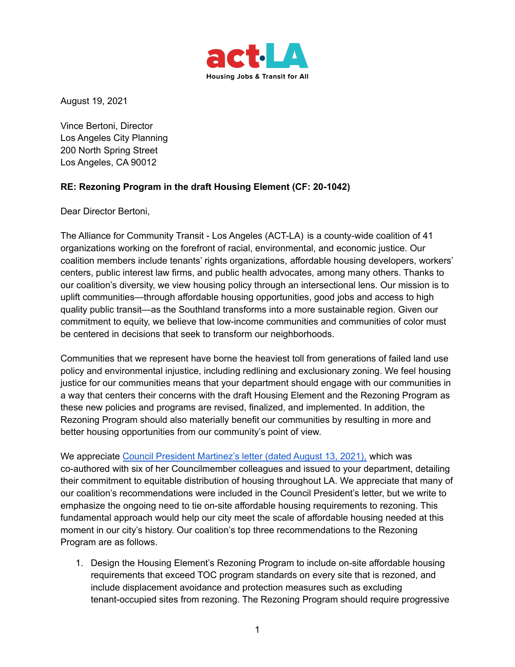

August 19, 2021

Vince Bertoni, Director Los Angeles City Planning 200 North Spring Street Los Angeles, CA 90012

## **RE: Rezoning Program in the draft Housing Element (CF: 20-1042)**

Dear Director Bertoni,

The Alliance for Community Transit - Los Angeles (ACT-LA) is a county-wide coalition of 41 organizations working on the forefront of racial, environmental, and economic justice. Our coalition members include tenants' rights organizations, affordable housing developers, workers' centers, public interest law firms, and public health advocates, among many others. Thanks to our coalition's diversity, we view housing policy through an intersectional lens. Our mission is to uplift communities—through affordable housing opportunities, good jobs and access to high quality public transit—as the Southland transforms into a more sustainable region. Given our commitment to equity, we believe that low-income communities and communities of color must be centered in decisions that seek to transform our neighborhoods.

Communities that we represent have borne the heaviest toll from generations of failed land use policy and environmental injustice, including redlining and exclusionary zoning. We feel housing justice for our communities means that your department should engage with our communities in a way that centers their concerns with the draft Housing Element and the Rezoning Program as these new policies and programs are revised, finalized, and implemented. In addition, the Rezoning Program should also materially benefit our communities by resulting in more and better housing opportunities from our community's point of view.

We appreciate Council President [Martinez's](https://clkrep.lacity.org/onlinedocs/2020/20-1042_misc_8-13-21.pdf) letter (dated August 13, 2021), which was co-authored with six of her Councilmember colleagues and issued to your department, detailing their commitment to equitable distribution of housing throughout LA. We appreciate that many of our coalition's recommendations were included in the Council President's letter, but we write to emphasize the ongoing need to tie on-site affordable housing requirements to rezoning. This fundamental approach would help our city meet the scale of affordable housing needed at this moment in our city's history. Our coalition's top three recommendations to the Rezoning Program are as follows.

1. Design the Housing Element's Rezoning Program to include on-site affordable housing requirements that exceed TOC program standards on every site that is rezoned, and include displacement avoidance and protection measures such as excluding tenant-occupied sites from rezoning. The Rezoning Program should require progressive